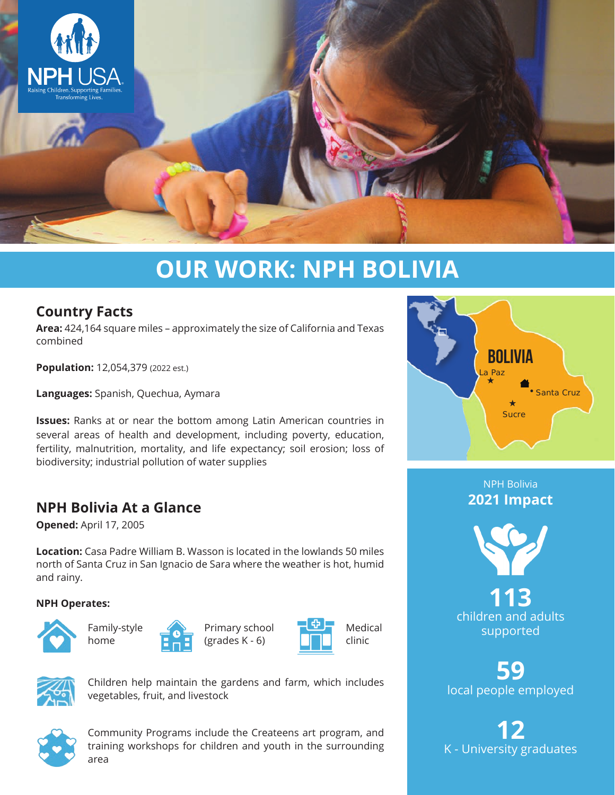

# **OUR WORK: NPH BOLIVIA**

## **Country Facts**

**Area:** 424,164 square miles – approximately the size of California and Texas combined

**Population:** 12,054,379 (2022 est.)

**Languages:** Spanish, Quechua, Aymara

**Issues:** Ranks at or near the bottom among Latin American countries in several areas of health and development, including poverty, education, fertility, malnutrition, mortality, and life expectancy; soil erosion; loss of biodiversity; industrial pollution of water supplies

## **NPH Bolivia At a Glance**

**Opened:** April 17, 2005

**Location:** Casa Padre William B. Wasson is located in the lowlands 50 miles north of Santa Cruz in San Ignacio de Sara where the weather is hot, humid and rainy.

#### **NPH Operates:**







Primary school (grades K - 6)





Children help maintain the gardens and farm, which includes vegetables, fruit, and livestock



Community Programs include the Createens art program, and training workshops for children and youth in the surrounding area



NPH Bolivia **2021 Impact**



**113** children and adults supported

**59** local people employed

**12** K - University graduates